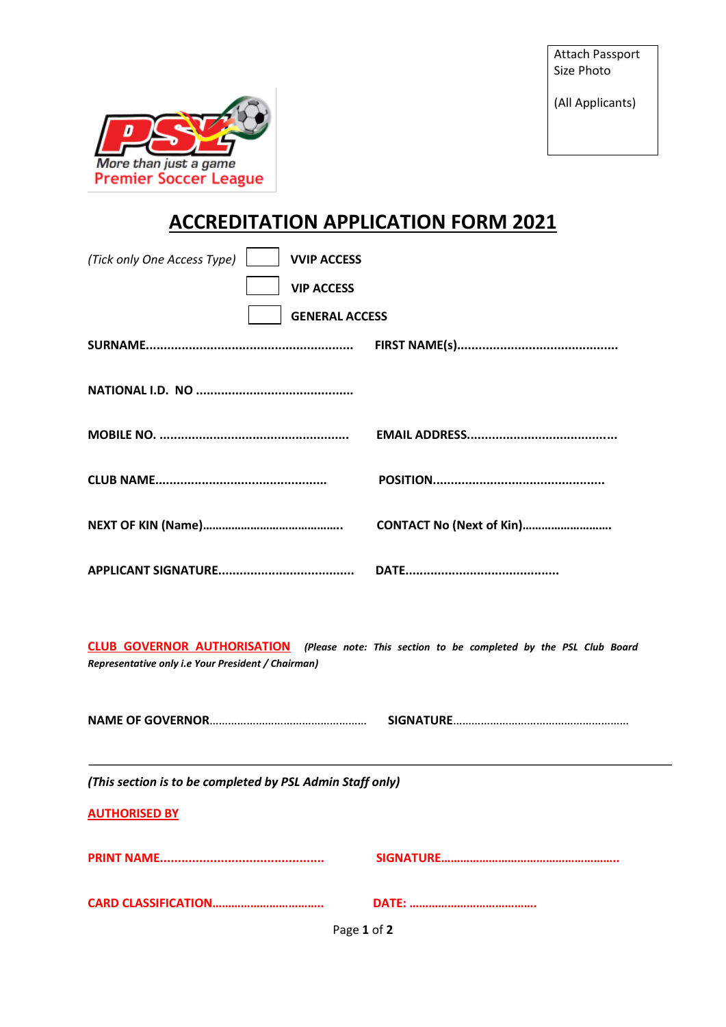Attach Passport Size Photo

(All Applicants)



## **ACCREDITATION APPLICATION FORM 2021**

| (Tick only One Access Type)<br><b>VVIP ACCESS</b><br><b>VIP ACCESS</b><br><b>GENERAL ACCESS</b>                                                    |                          |  |
|----------------------------------------------------------------------------------------------------------------------------------------------------|--------------------------|--|
|                                                                                                                                                    |                          |  |
|                                                                                                                                                    |                          |  |
|                                                                                                                                                    |                          |  |
|                                                                                                                                                    | CONTACT No (Next of Kin) |  |
|                                                                                                                                                    |                          |  |
| CLUB GOVERNOR AUTHORISATION (Please note: This section to be completed by the PSL Club Board<br>Representative only i.e Your President / Chairman) |                          |  |
|                                                                                                                                                    |                          |  |
| (This section is to be completed by PSL Admin Staff only)                                                                                          |                          |  |
| <b>AUTHORISED BY</b>                                                                                                                               |                          |  |
|                                                                                                                                                    |                          |  |
|                                                                                                                                                    |                          |  |